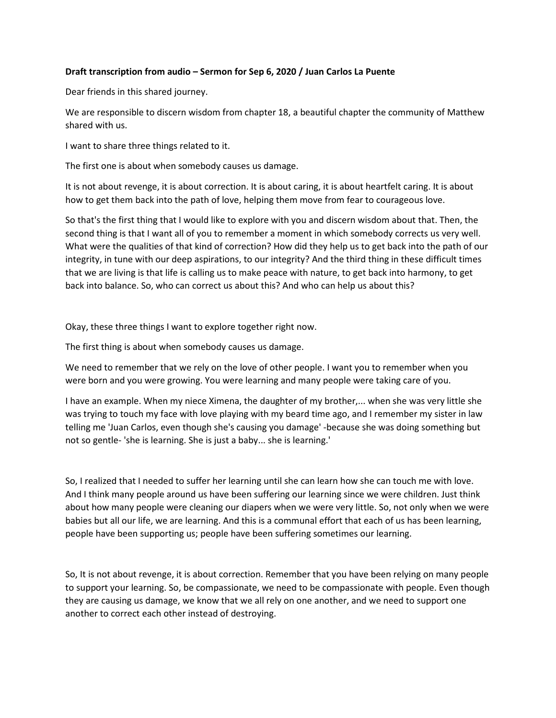## **Draft transcription from audio – Sermon for Sep 6, 2020 / Juan Carlos La Puente**

Dear friends in this shared journey.

We are responsible to discern wisdom from chapter 18, a beautiful chapter the community of Matthew shared with us.

I want to share three things related to it.

The first one is about when somebody causes us damage.

It is not about revenge, it is about correction. It is about caring, it is about heartfelt caring. It is about how to get them back into the path of love, helping them move from fear to courageous love.

So that's the first thing that I would like to explore with you and discern wisdom about that. Then, the second thing is that I want all of you to remember a moment in which somebody corrects us very well. What were the qualities of that kind of correction? How did they help us to get back into the path of our integrity, in tune with our deep aspirations, to our integrity? And the third thing in these difficult times that we are living is that life is calling us to make peace with nature, to get back into harmony, to get back into balance. So, who can correct us about this? And who can help us about this?

Okay, these three things I want to explore together right now.

The first thing is about when somebody causes us damage.

We need to remember that we rely on the love of other people. I want you to remember when you were born and you were growing. You were learning and many people were taking care of you.

I have an example. When my niece Ximena, the daughter of my brother,... when she was very little she was trying to touch my face with love playing with my beard time ago, and I remember my sister in law telling me 'Juan Carlos, even though she's causing you damage' -because she was doing something but not so gentle- 'she is learning. She is just a baby... she is learning.'

So, I realized that I needed to suffer her learning until she can learn how she can touch me with love. And I think many people around us have been suffering our learning since we were children. Just think about how many people were cleaning our diapers when we were very little. So, not only when we were babies but all our life, we are learning. And this is a communal effort that each of us has been learning, people have been supporting us; people have been suffering sometimes our learning.

So, It is not about revenge, it is about correction. Remember that you have been relying on many people to support your learning. So, be compassionate, we need to be compassionate with people. Even though they are causing us damage, we know that we all rely on one another, and we need to support one another to correct each other instead of destroying.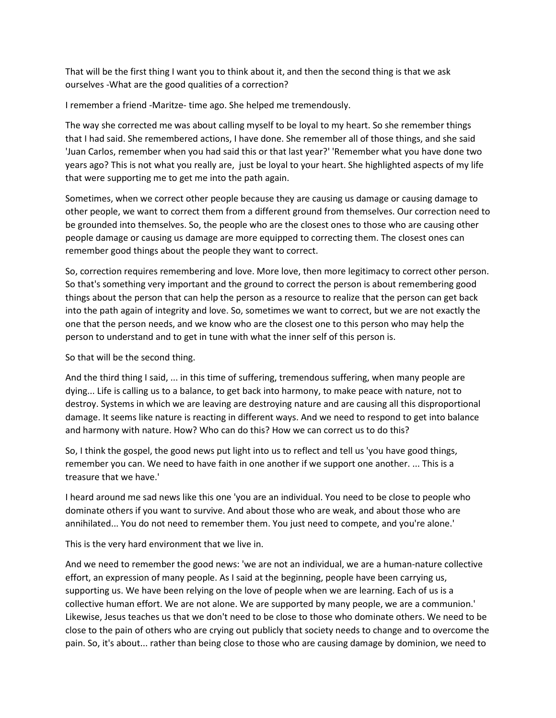That will be the first thing I want you to think about it, and then the second thing is that we ask ourselves -What are the good qualities of a correction?

I remember a friend -Maritze- time ago. She helped me tremendously.

The way she corrected me was about calling myself to be loyal to my heart. So she remember things that I had said. She remembered actions, I have done. She remember all of those things, and she said 'Juan Carlos, remember when you had said this or that last year?' 'Remember what you have done two years ago? This is not what you really are, just be loyal to your heart. She highlighted aspects of my life that were supporting me to get me into the path again.

Sometimes, when we correct other people because they are causing us damage or causing damage to other people, we want to correct them from a different ground from themselves. Our correction need to be grounded into themselves. So, the people who are the closest ones to those who are causing other people damage or causing us damage are more equipped to correcting them. The closest ones can remember good things about the people they want to correct.

So, correction requires remembering and love. More love, then more legitimacy to correct other person. So that's something very important and the ground to correct the person is about remembering good things about the person that can help the person as a resource to realize that the person can get back into the path again of integrity and love. So, sometimes we want to correct, but we are not exactly the one that the person needs, and we know who are the closest one to this person who may help the person to understand and to get in tune with what the inner self of this person is.

So that will be the second thing.

And the third thing I said, ... in this time of suffering, tremendous suffering, when many people are dying... Life is calling us to a balance, to get back into harmony, to make peace with nature, not to destroy. Systems in which we are leaving are destroying nature and are causing all this disproportional damage. It seems like nature is reacting in different ways. And we need to respond to get into balance and harmony with nature. How? Who can do this? How we can correct us to do this?

So, I think the gospel, the good news put light into us to reflect and tell us 'you have good things, remember you can. We need to have faith in one another if we support one another. ... This is a treasure that we have.'

I heard around me sad news like this one 'you are an individual. You need to be close to people who dominate others if you want to survive. And about those who are weak, and about those who are annihilated... You do not need to remember them. You just need to compete, and you're alone.'

This is the very hard environment that we live in.

And we need to remember the good news: 'we are not an individual, we are a human-nature collective effort, an expression of many people. As I said at the beginning, people have been carrying us, supporting us. We have been relying on the love of people when we are learning. Each of us is a collective human effort. We are not alone. We are supported by many people, we are a communion.' Likewise, Jesus teaches us that we don't need to be close to those who dominate others. We need to be close to the pain of others who are crying out publicly that society needs to change and to overcome the pain. So, it's about... rather than being close to those who are causing damage by dominion, we need to